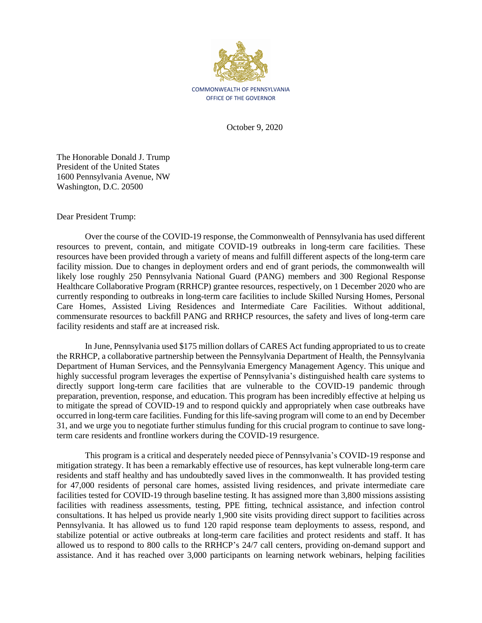

October 9, 2020

The Honorable Donald J. Trump President of the United States 1600 Pennsylvania Avenue, NW Washington, D.C. 20500

Dear President Trump:

Over the course of the COVID-19 response, the Commonwealth of Pennsylvania has used different resources to prevent, contain, and mitigate COVID-19 outbreaks in long-term care facilities. These resources have been provided through a variety of means and fulfill different aspects of the long-term care facility mission. Due to changes in deployment orders and end of grant periods, the commonwealth will likely lose roughly 250 Pennsylvania National Guard (PANG) members and 300 Regional Response Healthcare Collaborative Program (RRHCP) grantee resources, respectively, on 1 December 2020 who are currently responding to outbreaks in long-term care facilities to include Skilled Nursing Homes, Personal Care Homes, Assisted Living Residences and Intermediate Care Facilities. Without additional, commensurate resources to backfill PANG and RRHCP resources, the safety and lives of long-term care facility residents and staff are at increased risk.

In June, Pennsylvania used \$175 million dollars of CARES Act funding appropriated to us to create the RRHCP, a collaborative partnership between the Pennsylvania Department of Health, the Pennsylvania Department of Human Services, and the Pennsylvania Emergency Management Agency. This unique and highly successful program leverages the expertise of Pennsylvania's distinguished health care systems to directly support long-term care facilities that are vulnerable to the COVID-19 pandemic through preparation, prevention, response, and education. This program has been incredibly effective at helping us to mitigate the spread of COVID-19 and to respond quickly and appropriately when case outbreaks have occurred in long-term care facilities. Funding for this life-saving program will come to an end by December 31, and we urge you to negotiate further stimulus funding for this crucial program to continue to save longterm care residents and frontline workers during the COVID-19 resurgence.

This program is a critical and desperately needed piece of Pennsylvania's COVID-19 response and mitigation strategy. It has been a remarkably effective use of resources, has kept vulnerable long-term care residents and staff healthy and has undoubtedly saved lives in the commonwealth. It has provided testing for 47,000 residents of personal care homes, assisted living residences, and private intermediate care facilities tested for COVID-19 through baseline testing. It has assigned more than 3,800 missions assisting facilities with readiness assessments, testing, PPE fitting, technical assistance, and infection control consultations. It has helped us provide nearly 1,900 site visits providing direct support to facilities across Pennsylvania. It has allowed us to fund 120 rapid response team deployments to assess, respond, and stabilize potential or active outbreaks at long-term care facilities and protect residents and staff. It has allowed us to respond to 800 calls to the RRHCP's 24/7 call centers, providing on-demand support and assistance. And it has reached over 3,000 participants on learning network webinars, helping facilities